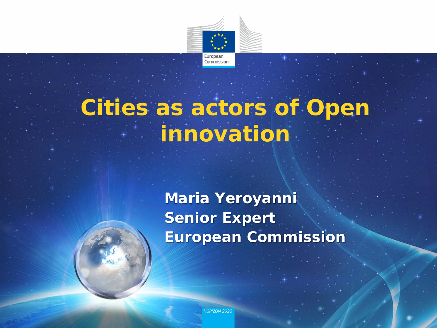

# **Cities as actors of Open innovation**

**Maria Yeroyanni Senior Expert European Commission**

**HORIZON 2020**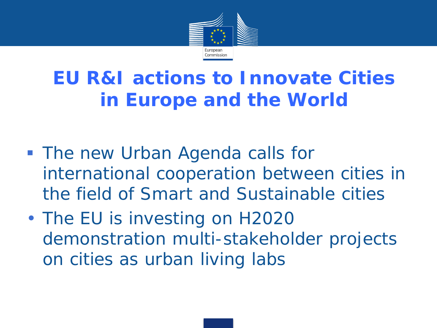

## **EU R&I actions to Innovate Cities in Europe and the World**

- **The new Urban Agenda calls for** international cooperation between cities in the field of Smart and Sustainable cities
- The EU is investing on H2020 demonstration multi-stakeholder projects on cities as urban living labs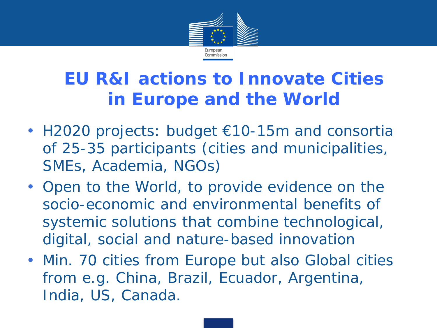

#### **EU R&I actions to Innovate Cities in Europe and the World**

- H2020 projects: budget €10-15m and consortia of 25-35 participants (cities and municipalities, SMEs, Academia, NGOs)
- Open to the World, to provide evidence on the socio-economic and environmental benefits of systemic solutions that combine technological, digital, social and nature-based innovation
- Min. 70 cities from Europe but also Global cities from e.g. China, Brazil, Ecuador, Argentina, India, US, Canada.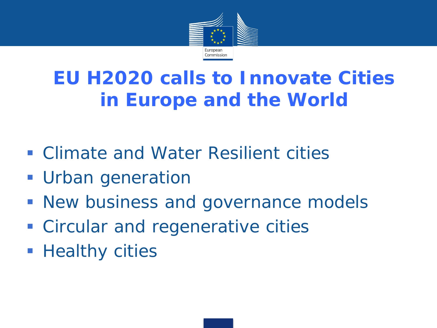

## **EU H2020 calls to Innovate Cities in Europe and the World**

- **Example 20 Feature Climate and Water Resilient cities**
- **Urban generation**
- **New business and governance models**
- **EX Circular and regenerative cities**
- **Healthy cities**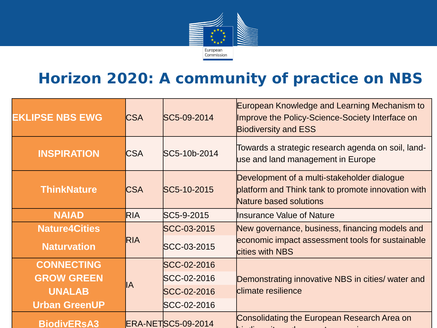

#### **Horizon 2020: A community of practice on NBS**

| <b>EKLIPSE NBS EWG</b> | <b>CSA</b> | SC5-09-2014               | European Knowledge and Learning Mechanism to<br>Improve the Policy-Science-Society Interface on<br><b>Biodiversity and ESS</b> |
|------------------------|------------|---------------------------|--------------------------------------------------------------------------------------------------------------------------------|
| <b>INSPIRATION</b>     | <b>CSA</b> | SC5-10b-2014              | Towards a strategic research agenda on soil, land-<br>use and land management in Europe                                        |
| <b>ThinkNature</b>     | <b>CSA</b> | SC5-10-2015               | Development of a multi-stakeholder dialogue<br>platform and Think tank to promote innovation with<br>Nature based solutions    |
| <b>NAIAD</b>           | <b>RIA</b> | SC5-9-2015                | Insurance Value of Nature                                                                                                      |
| <b>Nature4Cities</b>   | <b>RIA</b> | SCC-03-2015               | New governance, business, financing models and                                                                                 |
| <b>Naturvation</b>     |            | SCC-03-2015               | economic impact assessment tools for sustainable<br><b>cities with NBS</b>                                                     |
| <b>CONNECTING</b>      | llА        | SCC-02-2016               |                                                                                                                                |
| <b>GROW GREEN</b>      |            | SCC-02-2016               | Demonstrating innovative NBS in cities/ water and                                                                              |
| <b>UNALAB</b>          |            | SCC-02-2016               | climate resilience                                                                                                             |
| <b>Urban GreenUP</b>   |            | SCC-02-2016               |                                                                                                                                |
| <b>BiodivERsA3</b>     |            | <b>ERA-NETSC5-09-2014</b> | <b>Consolidating the European Research Area on</b>                                                                             |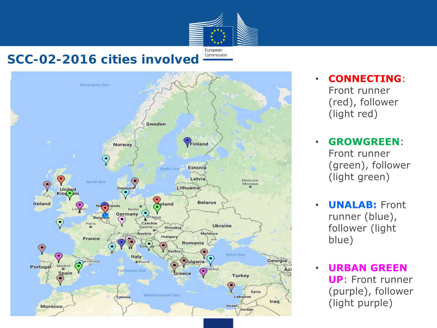

#### **SCC-02-2016 cities involved**



- **CONNECTING:** Front runner (red), follower (light red)
- **GROWGREEN:** Front runner (green), follower (light green)
- **UNALAB: Front** runner (blue), follower (light blue)
- **URBAN GREEN UP:** Front runner (purple), follower (light purple)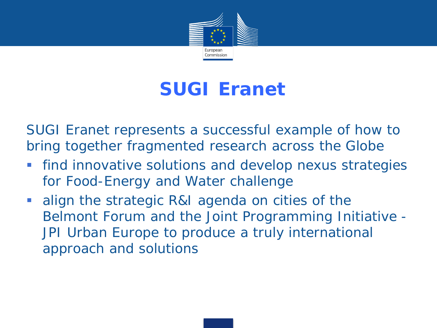

#### **SUGI Eranet**

SUGI Eranet represents a successful example of how to bring together fragmented research across the Globe

- **Find innovative solutions and develop nexus strategies** for Food-Energy and Water challenge
- align the strategic R&I agenda on cities of the Belmont Forum and the Joint Programming Initiative - JPI Urban Europe to produce a truly international approach and solutions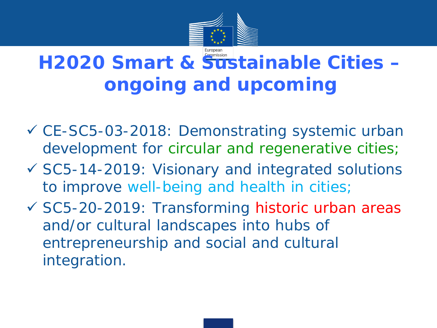

# **H2020 Smart & Sustainable Cities – ongoing and upcoming**

- CE-SC5-03-2018: Demonstrating systemic urban development for circular and regenerative cities;
- SC5-14-2019: Visionary and integrated solutions to improve well-being and health in cities;
- SC5-20-2019: Transforming historic urban areas and/or cultural landscapes into hubs of entrepreneurship and social and cultural integration.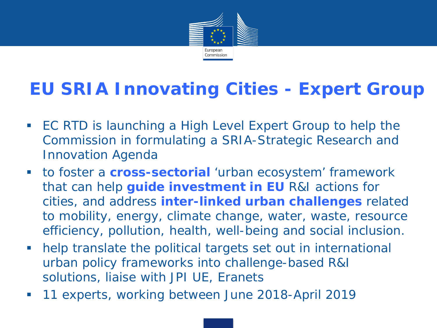

#### **EU SRIA Innovating Cities - Expert Group**

- EC RTD is launching a High Level Expert Group to help the Commission in formulating a SRIA-Strategic Research and Innovation Agenda
- to foster a **cross-sectorial** 'urban ecosystem' framework that can help **guide investment in EU** R&I actions for cities, and address **inter-linked urban challenges** related to mobility, energy, climate change, water, waste, resource efficiency, pollution, health, well-being and social inclusion.
- help translate the political targets set out in international urban policy frameworks into challenge-based R&I solutions, liaise with JPI UE, Eranets
- 11 experts, working between June 2018-April 2019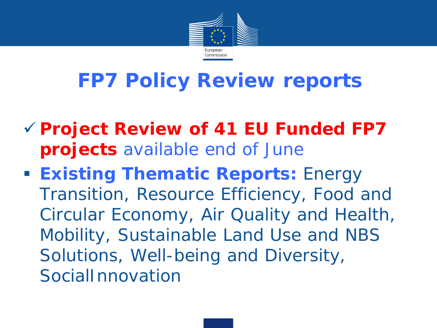

# **FP7 Policy Review reports**

- **Project Review of 41 EU Funded FP7 projects** *available end of June*
- **Existing Thematic Reports: Energy** Transition, Resource Efficiency, Food and Circular Economy, Air Quality and Health, Mobility, Sustainable Land Use and NBS Solutions, Well-being and Diversity, SocialInnovation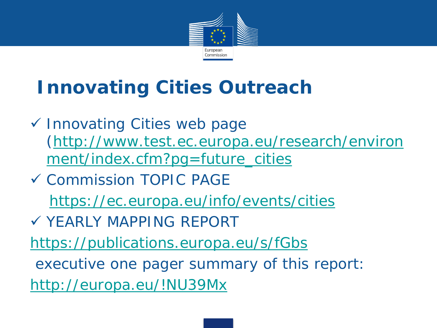

# **Innovating Cities Outreach**

- Innovating Cities web page *[\(http://www.test.ec.europa.eu/research/environ](http://www.test.ec.europa.eu/research/environment/index.cfm?pg=future_cities) ment/index.cfm?pg=future\_cities*
- Commission TOPIC PAGE <https://ec.europa.eu/info/events/cities> YEARLY MAPPING REPORT
- <https://publications.europa.eu/s/fGbs>
- executive one pager summary of this report: <http://europa.eu/!NU39Mx>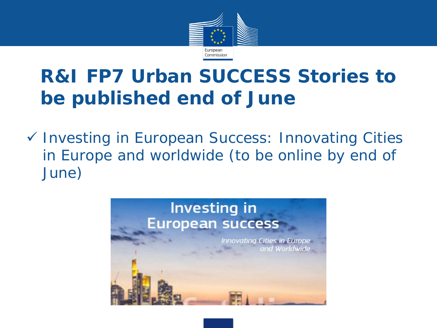

## **R&I FP7 Urban SUCCESS Stories to be published end of June**

 *Investing in European Success: Innovating Cities in Europe and worldwide (to be online by end of June)* 

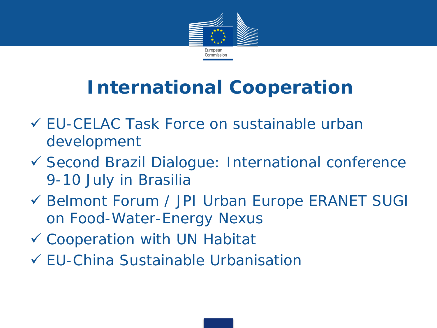

# **International Cooperation**

- EU-CELAC Task Force on sustainable urban development
- Second Brazil Dialogue: International conference 9-10 July in Brasilia
- Belmont Forum / JPI Urban Europe ERANET SUGI on Food-Water-Energy Nexus
- Cooperation with UN Habitat
- EU-China Sustainable Urbanisation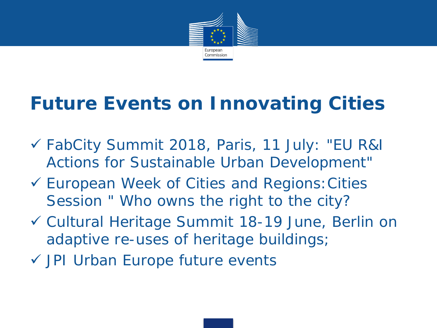

## **Future Events on Innovating Cities**

- FabCity Summit 2018, Paris, 11 July: "EU R&I Actions for Sustainable Urban Development"
- European Week of Cities and Regions:Cities Session " Who owns the right to the city?
- Cultural Heritage Summit 18-19 June, Berlin on adaptive re-uses of heritage buildings;
- JPI Urban Europe future events